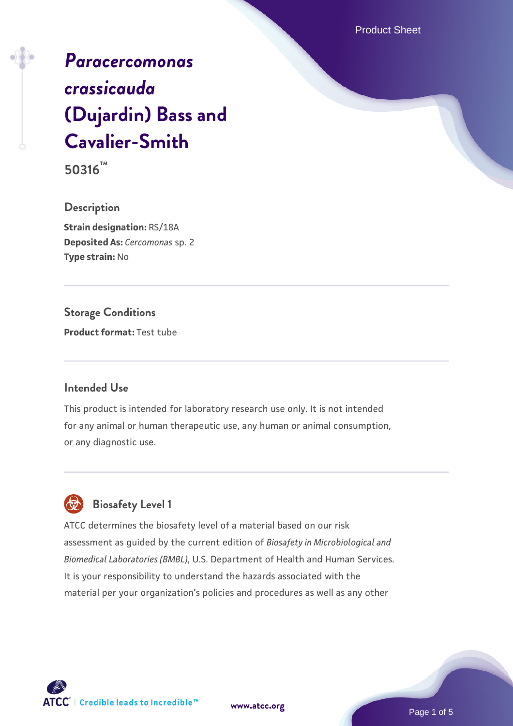Product Sheet

# *[Paracercomonas](https://www.atcc.org/products/50316) [crassicauda](https://www.atcc.org/products/50316)* **[\(Dujardin\) Bass and](https://www.atcc.org/products/50316) [Cavalier-Smith](https://www.atcc.org/products/50316)**

**50316™**

**Description Strain designation:** RS/18A **Deposited As:** *Cercomonas* sp. 2 **Type strain:** No

**Storage Conditions Product format:** Test tube

#### **Intended Use**

This product is intended for laboratory research use only. It is not intended for any animal or human therapeutic use, any human or animal consumption, or any diagnostic use.



ATCC determines the biosafety level of a material based on our risk assessment as guided by the current edition of *Biosafety in Microbiological and Biomedical Laboratories (BMBL)*, U.S. Department of Health and Human Services. It is your responsibility to understand the hazards associated with the material per your organization's policies and procedures as well as any other



**[www.atcc.org](http://www.atcc.org)**

Page 1 of 5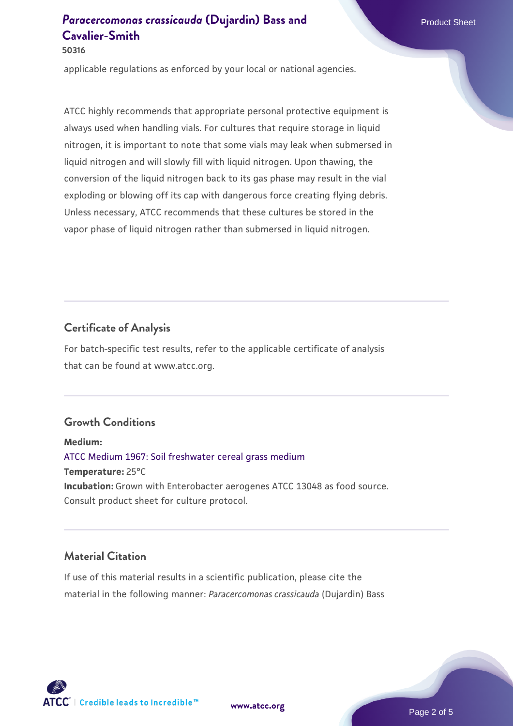**50316**

applicable regulations as enforced by your local or national agencies.

ATCC highly recommends that appropriate personal protective equipment is always used when handling vials. For cultures that require storage in liquid nitrogen, it is important to note that some vials may leak when submersed in liquid nitrogen and will slowly fill with liquid nitrogen. Upon thawing, the conversion of the liquid nitrogen back to its gas phase may result in the vial exploding or blowing off its cap with dangerous force creating flying debris. Unless necessary, ATCC recommends that these cultures be stored in the vapor phase of liquid nitrogen rather than submersed in liquid nitrogen.

#### **Certificate of Analysis**

For batch-specific test results, refer to the applicable certificate of analysis that can be found at www.atcc.org.

#### **Growth Conditions**

**Medium:**  [ATCC Medium 1967: Soil freshwater cereal grass medium](https://www.atcc.org/-/media/product-assets/documents/microbial-media-formulations/1/9/6/7/atcc-medium-1967.pdf?rev=6d6a0ece598c4c7faf735def3ce81152) **Temperature:** 25°C **Incubation:** Grown with Enterobacter aerogenes ATCC 13048 as food source. Consult product sheet for culture protocol.

#### **Material Citation**

If use of this material results in a scientific publication, please cite the material in the following manner: *Paracercomonas crassicauda* (Dujardin) Bass



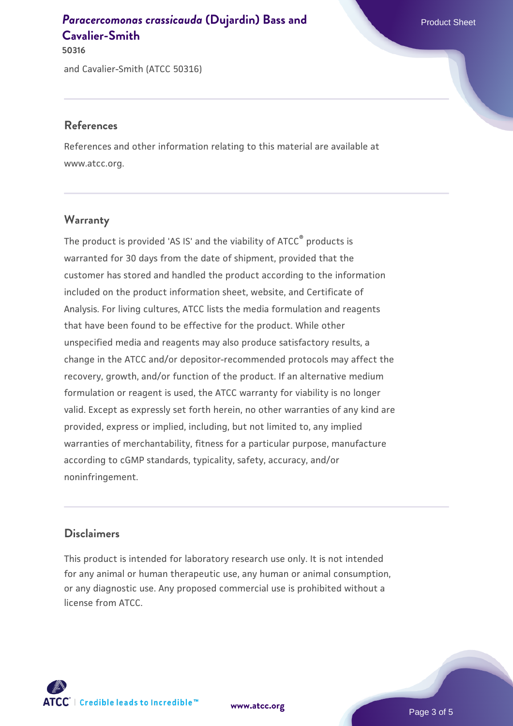and Cavalier-Smith (ATCC 50316) **50316**

#### **References**

References and other information relating to this material are available at www.atcc.org.

### **Warranty**

The product is provided 'AS IS' and the viability of ATCC® products is warranted for 30 days from the date of shipment, provided that the customer has stored and handled the product according to the information included on the product information sheet, website, and Certificate of Analysis. For living cultures, ATCC lists the media formulation and reagents that have been found to be effective for the product. While other unspecified media and reagents may also produce satisfactory results, a change in the ATCC and/or depositor-recommended protocols may affect the recovery, growth, and/or function of the product. If an alternative medium formulation or reagent is used, the ATCC warranty for viability is no longer valid. Except as expressly set forth herein, no other warranties of any kind are provided, express or implied, including, but not limited to, any implied warranties of merchantability, fitness for a particular purpose, manufacture according to cGMP standards, typicality, safety, accuracy, and/or noninfringement.

#### **Disclaimers**

This product is intended for laboratory research use only. It is not intended for any animal or human therapeutic use, any human or animal consumption, or any diagnostic use. Any proposed commercial use is prohibited without a license from ATCC.

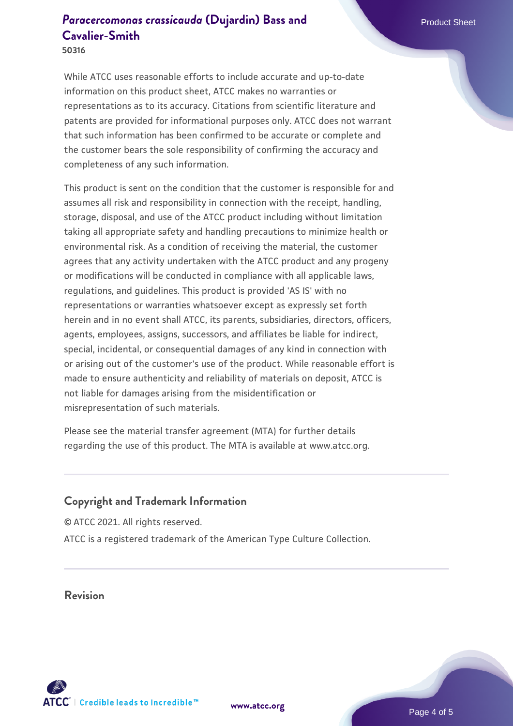**50316**

While ATCC uses reasonable efforts to include accurate and up-to-date information on this product sheet, ATCC makes no warranties or representations as to its accuracy. Citations from scientific literature and patents are provided for informational purposes only. ATCC does not warrant that such information has been confirmed to be accurate or complete and the customer bears the sole responsibility of confirming the accuracy and completeness of any such information.

This product is sent on the condition that the customer is responsible for and assumes all risk and responsibility in connection with the receipt, handling, storage, disposal, and use of the ATCC product including without limitation taking all appropriate safety and handling precautions to minimize health or environmental risk. As a condition of receiving the material, the customer agrees that any activity undertaken with the ATCC product and any progeny or modifications will be conducted in compliance with all applicable laws, regulations, and guidelines. This product is provided 'AS IS' with no representations or warranties whatsoever except as expressly set forth herein and in no event shall ATCC, its parents, subsidiaries, directors, officers, agents, employees, assigns, successors, and affiliates be liable for indirect, special, incidental, or consequential damages of any kind in connection with or arising out of the customer's use of the product. While reasonable effort is made to ensure authenticity and reliability of materials on deposit, ATCC is not liable for damages arising from the misidentification or misrepresentation of such materials.

Please see the material transfer agreement (MTA) for further details regarding the use of this product. The MTA is available at www.atcc.org.

#### **Copyright and Trademark Information**

© ATCC 2021. All rights reserved. ATCC is a registered trademark of the American Type Culture Collection.

**Revision**



**[www.atcc.org](http://www.atcc.org)**

Page 4 of 5